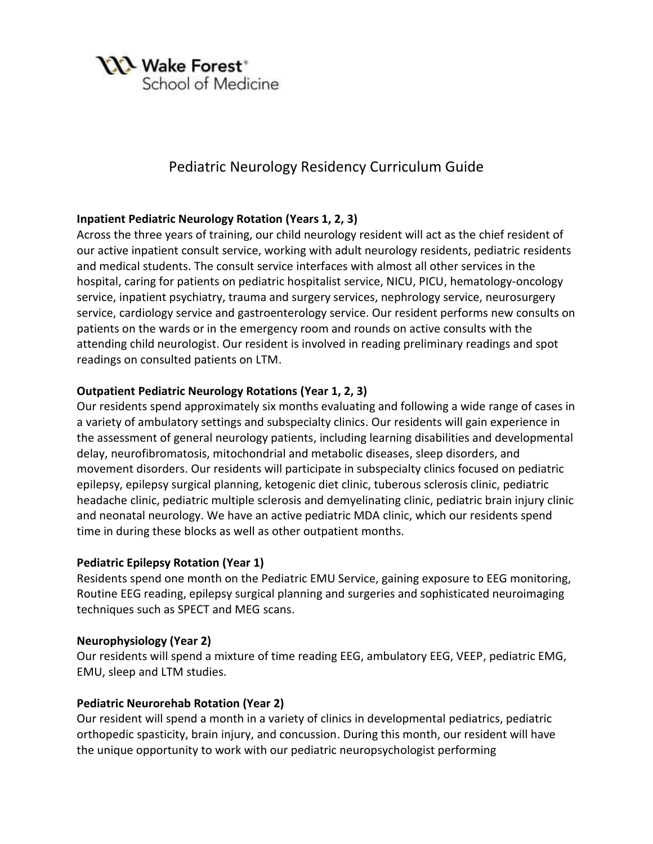

# Pediatric Neurology Residency Curriculum Guide

### **Inpatient Pediatric Neurology Rotation (Years 1, 2, 3)**

Across the three years of training, our child neurology resident will act as the chief resident of our active inpatient consult service, working with adult neurology residents, pediatric residents and medical students. The consult service interfaces with almost all other services in the hospital, caring for patients on pediatric hospitalist service, NICU, PICU, hematology-oncology service, inpatient psychiatry, trauma and surgery services, nephrology service, neurosurgery service, cardiology service and gastroenterology service. Our resident performs new consults on patients on the wards or in the emergency room and rounds on active consults with the attending child neurologist. Our resident is involved in reading preliminary readings and spot readings on consulted patients on LTM.

### **Outpatient Pediatric Neurology Rotations (Year 1, 2, 3)**

Our residents spend approximately six months evaluating and following a wide range of cases in a variety of ambulatory settings and subspecialty clinics. Our residents will gain experience in the assessment of general neurology patients, including learning disabilities and developmental delay, neurofibromatosis, mitochondrial and metabolic diseases, sleep disorders, and movement disorders. Our residents will participate in subspecialty clinics focused on pediatric epilepsy, epilepsy surgical planning, ketogenic diet clinic, tuberous sclerosis clinic, pediatric headache clinic, pediatric multiple sclerosis and demyelinating clinic, pediatric brain injury clinic and neonatal neurology. We have an active pediatric MDA clinic, which our residents spend time in during these blocks as well as other outpatient months.

### **Pediatric Epilepsy Rotation (Year 1)**

Residents spend one month on the Pediatric EMU Service, gaining exposure to EEG monitoring, Routine EEG reading, epilepsy surgical planning and surgeries and sophisticated neuroimaging techniques such as SPECT and MEG scans.

### **Neurophysiology (Year 2)**

Our residents will spend a mixture of time reading EEG, ambulatory EEG, VEEP, pediatric EMG, EMU, sleep and LTM studies.

### **Pediatric Neurorehab Rotation (Year 2)**

Our resident will spend a month in a variety of clinics in developmental pediatrics, pediatric orthopedic spasticity, brain injury, and concussion. During this month, our resident will have the unique opportunity to work with our pediatric neuropsychologist performing